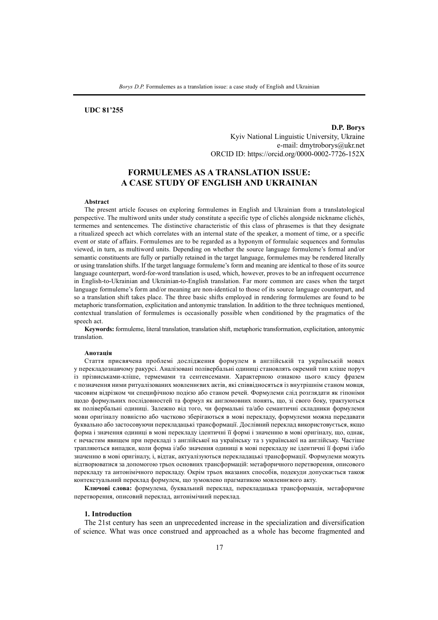# **UDC 81'255**

**D.P. Borys** Kyiv National Linguistic University, Ukraine e-mail: dmytroborys@ukr.net ORCID ID: https://orcid.org/0000-0002-7726-152X

# **FORMULEMES AS A TRANSLATION ISSUE: A CASE STUDY OF ENGLISH AND UKRAINIAN**

#### **Abstract**

The present article focuses on exploring formulemes in English and Ukrainian from a translatological perspective. The multiword units under study constitute a specific type of clichés alongside nickname clichés, termemes and sentencemes. The distinctive characteristic of this class of phrasemes is that they designate a ritualized speech act which correlates with an internal state of the speaker, a moment of time, or a specific event or state of affairs. Formulemes are to be regarded as a hyponym of formulaic sequences and formulas viewed, in turn, as multiword units. Depending on whether the source language formuleme's formal and/or semantic constituents are fully or partially retained in the target language, formulemes may be rendered literally or using translation shifts. If the target language formuleme's form and meaning are identical to those of its source language counterpart, word-for-word translation is used, which, however, proves to be an infrequent occurrence in English-to-Ukrainian and Ukrainian-to-English translation. Far more common are cases when the target language formuleme's form and/or meaning are non-identical to those of its source language counterpart, and so a translation shift takes place. The three basic shifts employed in rendering formulemes are found to be metaphoric transformation, explicitation and antonymic translation. In addition to the three techniques mentioned, contextual translation of formulemes is occasionally possible when conditioned by the pragmatics of the speech act.

**Keywords:** formuleme, literal translation, translation shift, metaphoric transformation, explicitation, antonymic translation.

#### **Анотація**

Стаття присвячена проблемі дослідження формулем в англійській та українській мовах у перекладознавчому ракурсі. Аналізовані полівербальні одиниці становлять окремий тип кліше поруч із прізвиськами-кліше, термемами та сентенсемами. Характерною ознакою цього класу фразем є позначення ними ритуалізованих мовленнєвих актів, які співвідносяться із внутрішнім станом мовця, часовим відрізком чи специфічною подією або станом речей. Формулеми слід розглядати як гіпоніми щодо формульних послідовностей та формул як англомовних понять, що, зі свого боку, трактуються як полівербальні одиниці. Залежно від того, чи формальні та/або семантичні складники формулеми мови оригіналу повністю або частково зберігаються в мові перекладу, формулеми можна передавати буквально або застосовуючи перекладацькі трансформації. Дослівний переклад використовується, якщо форма і значення одиниці в мові перекладу ідентичні її формі і значенню в мові оригіналу, що, однак, є нечастим явищем при перекладі з англійської на українську та з української на англійську. Частіше трапляються випадки, коли форма і/або значення одиниці в мові перекладу не ідентичні її формі і/або значенню в мові оригіналу, і, відтак, актуалізуються перекладацькі трансформації. Формулеми можуть відтворюватися за допомогою трьох основних трансформацій: метафоричного перетворення, описового перекладу та антонімічного перекладу. Окрім трьох вказаних способів, подекуди допускається також контекстуальний переклад формулем, що зумовлено прагматикою мовленнєвого акту.

**Ключові слова:** формулема, буквальний переклад, перекладацька трансформація, метафоричне перетворення, описовий переклад, антонімічний переклад.

### **1. Introduction**

The 21st century has seen an unprecedented increase in the specialization and diversification of science. What was once construed and approached as a whole has become fragmented and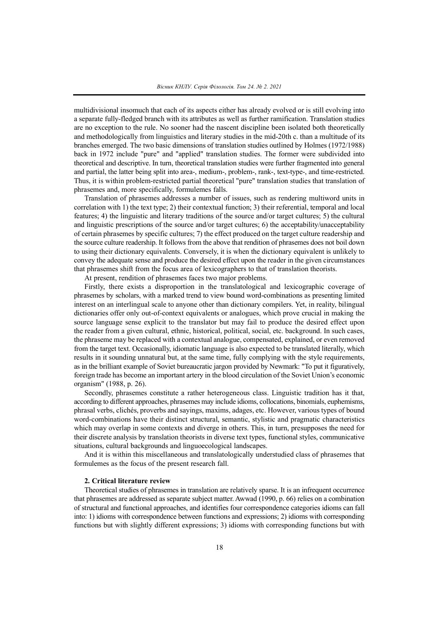multidivisional insomuch that each of its aspects either has already evolved or is still evolving into a separate fully-fledged branch with its attributes as well as further ramification. Translation studies are no exception to the rule. No sooner had the nascent discipline been isolated both theoretically and methodologically from linguistics and literary studies in the mid-20th c. than a multitude of its branches emerged. The two basic dimensions of translation studies outlined by Holmes (1972/1988) back in 1972 include "pure" and "applied" translation studies. The former were subdivided into theoretical and descriptive. In turn, theoretical translation studies were further fragmented into general and partial, the latter being split into area-, medium-, problem-, rank-, text-type-, and time-restricted. Thus, it is within problem-restricted partial theoretical "pure" translation studies that translation of phrasemes and, more specifically, formulemes falls.

Translation of phrasemes addresses a number of issues, such as rendering multiword units in correlation with 1) the text type; 2) their contextual function; 3) their referential, temporal and local features; 4) the linguistic and literary traditions of the source and/or target cultures; 5) the cultural and linguistic prescriptions of the source and/or target cultures; 6) the acceptability/unacceptability of certain phrasemes by specific cultures; 7) the effect produced on the target culture readership and the source culture readership. It follows from the above that rendition of phrasemes does not boil down to using their dictionary equivalents. Conversely, it is when the dictionary equivalent is unlikely to convey the adequate sense and produce the desired effect upon the reader in the given circumstances that phrasemes shift from the focus area of lexicographers to that of translation theorists.

At present, rendition of phrasemes faces two major problems.

Firstly, there exists a disproportion in the translatological and lexicographic coverage of phrasemes by scholars, with a marked trend to view bound word-combinations as presenting limited interest on an interlingual scale to anyone other than dictionary compilers. Yet, in reality, bilingual dictionaries offer only out-of-context equivalents or analogues, which prove crucial in making the source language sense explicit to the translator but may fail to produce the desired effect upon the reader from a given cultural, ethnic, historical, political, social, etc. background. In such cases, the phraseme may be replaced with a contextual analogue, compensated, explained, or even removed from the target text. Occasionally, idiomatic language is also expected to be translated literally, which results in it sounding unnatural but, at the same time, fully complying with the style requirements, as in the brilliant example of Soviet bureaucratic jargon provided by Newmark: "To put it figuratively, foreign trade has become an important artery in the blood circulation of the Soviet Union's economic organism" (1988, p. 26).

Secondly, phrasemes constitute a rather heterogeneous class. Linguistic tradition has it that, according to different approaches, phrasemes may include idioms, collocations, binomials, euphemisms, phrasal verbs, clichés, proverbs and sayings, maxims, adages, etc. However, various types of bound word-combinations have their distinct structural, semantic, stylistic and pragmatic characteristics which may overlap in some contexts and diverge in others. This, in turn, presupposes the need for their discrete analysis by translation theorists in diverse text types, functional styles, communicative situations, cultural backgrounds and linguoecological landscapes.

And it is within this miscellaneous and translatologically understudied class of phrasemes that formulemes as the focus of the present research fall.

#### **2. Critical literature review**

Theoretical studies of phrasemes in translation are relatively sparse. It is an infrequent occurrence that phrasemes are addressed as separate subject matter. Awwad (1990, p. 66) relies on a combination of structural and functional approaches, and identifies four correspondence categories idioms can fall into: 1) idioms with correspondence between functions and expressions; 2) idioms with corresponding functions but with slightly different expressions; 3) idioms with corresponding functions but with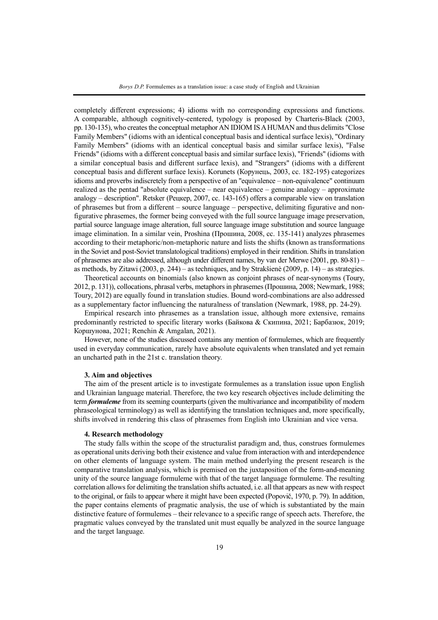completely different expressions; 4) idioms with no corresponding expressions and functions. A comparable, although cognitively-centered, typology is proposed by Charteris-Black (2003, pp. 130-135), who creates the conceptual metaphor AN IDIOM IS A HUMAN and thus delimits "Close" Family Members" (idioms with an identical conceptual basis and identical surface lexis), "Ordinary Family Members" (idioms with an identical conceptual basis and similar surface lexis), "False Friends" (idioms with a different conceptual basis and similar surface lexis), "Friends" (idioms with a similar conceptual basis and different surface lexis), and "Strangers" (idioms with a different conceptual basis and different surface lexis). Korunets (Корунець, 2003, сс. 182-195) categorizes idioms and proverbs indiscretely from a perspective of an "equivalence – non-equivalence" continuum realized as the pentad "absolute equivalence – near equivalence – genuine analogy – approximate analogy – description". Retsker (Рецкер, 2007, сс. 143-165) offers a comparable view on translation of phrasemes but from a different – source language – perspective, delimiting figurative and nonfigurative phrasemes, the former being conveyed with the full source language image preservation, partial source language image alteration, full source language image substitution and source language image elimination. In a similar vein, Proshina (Прошина, 2008, сс. 135-141) analyzes phrasemes according to their metaphoric/non-metaphoric nature and lists the shifts (known as transformations in the Soviet and post-Soviet translatological traditions) employed in their rendition. Shifts in translation of phrasemes are also addressed, although under different names, by van der Merwe (2001, pp. 80-81) – as methods, by Zitawi (2003, p. 244) – as techniques, and by Strakšienė (2009, p. 14) – as strategies.

Theoretical accounts on binomials (also known as conjoint phrases of near-synonyms (Toury, 2012, p. 131)), collocations, phrasal verbs, metaphorsin phrasemes(Прошина, 2008; Newmark, 1988; Toury, 2012) are equally found in translation studies. Bound word-combinations are also addressed as a supplementary factor influencing the naturalness of translation (Newmark, 1988, pp. 24-29).

Empirical research into phrasemes as a translation issue, although more extensive, remains predominantly restricted to specific literary works (Байкова & Скипина, 2021; Барбазюк, 2019; Коршунова, 2021; Renchin & Amgalan, 2021).

However, none of the studies discussed contains any mention of formulemes, which are frequently used in everyday communication, rarely have absolute equivalents when translated and yet remain an uncharted path in the 21st c. translation theory.

#### **3. Aim and objectives**

The aim of the present article is to investigate formulemes as a translation issue upon English and Ukrainian language material. Therefore, the two key research objectives include delimiting the term *formuleme* from its seeming counterparts (given the multivariance and incompatibility of modern phraseological terminology) as well as identifying the translation techniques and, more specifically, shifts involved in rendering this class of phrasemes from English into Ukrainian and vice versa.

### **4. Research methodology**

The study falls within the scope of the structuralist paradigm and, thus, construes formulemes as operational units deriving both their existence and value from interaction with and interdependence on other elements of language system. The main method underlying the present research is the comparative translation analysis, which is premised on the juxtaposition of the form-and-meaning unity of the source language formuleme with that of the target language formuleme. The resulting correlation allows for delimiting the translation shifts actuated, i.e. all that appears as new with respect to the original, or fails to appear where it might have been expected (Popovič, 1970, p. 79). In addition, the paper contains elements of pragmatic analysis, the use of which is substantiated by the main distinctive feature of formulemes – their relevance to a specific range of speech acts. Therefore, the pragmatic values conveyed by the translated unit must equally be analyzed in the source language and the target language.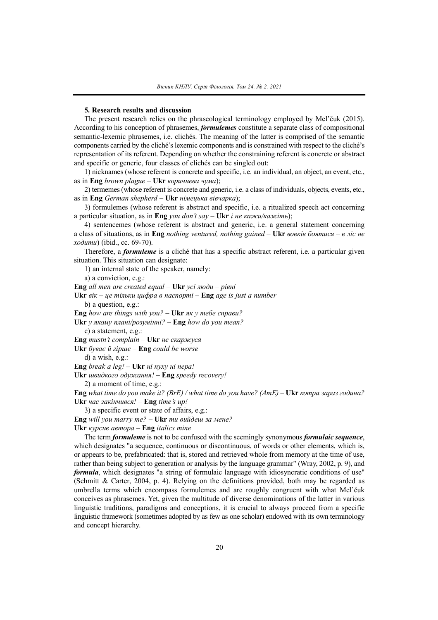### **5. Research results and discussion**

The present research relies on the phraseological terminology employed by Mel'čuk (2015). According to his conception of phrasemes, *formulemes* constitute a separate class of compositional semantic-lexemic phrasemes, i.e. clichés. The meaning of the latter is comprised of the semantic components carried by the cliché's lexemic components and is constrained with respect to the cliché's representation of its referent. Depending on whether the constraining referent is concrete or abstract and specific or generic, four classes of clichés can be singled out:

1) nicknames (whose referent is concrete and specific, i.e. an individual, an object, an event, etc., as in **Eng** *brown plague –* **Ukr** *коричнева чума*);

2) termemes(whose referent is concrete and generic, i.e. a class of individuals, objects, events, etc., as in **Eng** *German shepherd –* **Ukr** *німецька вівчарка*);

3) formulemes (whose referent is abstract and specific, i.e. a ritualized speech act concerning a particular situation, as in **Eng** *you don't say –* **Ukr** *і не кажи/кажіть*);

4) sentencemes (whose referent is abstract and generic, i.e. a general statement concerning a class of situations, as in **Eng** *nothing ventured, nothing gained –* **Ukr** *вовків боятися – в ліс не ходити*) (ibid., cc. 69-70).

Therefore, a *formuleme* is a cliché that has a specific abstract referent, i.e. a particular given situation. This situation can designate:

1) an internal state of the speaker, namely:

a) a conviction, e.g.:

**Eng** *all men are created equal –* **Ukr** *усі люди – рівні*

**Ukr** *вік – це тільки цифра в паспорті –* **Eng** *age is just a number* b) a question, e.g.:

**Eng** *how are things with you? –* **Ukr** *як у тебе справи?*

**Ukr** *у якому плані/розумінні? –* **Eng** *how do you mean?*

c) a statement, e.g.:

**Eng** *mustn't complain –* **Ukr** *не скаржуся*

**Ukr** *буває й гірше –* **Eng** *could be worse*

d) a wish, e.g.:

**Eng** *break a leg! –* **Ukr** *ні пуху ні пера!*

**Ukr** *швидкого одужання! –* **Eng** *speedy recovery!*

2) a moment of time, e.g.:

Eng what time do you make it? (BrE) / what time do you have? (AmE) – Ukr kompa sapas  $z$ oduna? **Ukr** *час закінчився! –* **Eng** *time's up!*

3) a specific event or state of affairs, e.g.:

**Eng** *will you marry me? –* **Ukr** *ти вийдеш за мене?*

**Ukr** *курсив автора –* **Eng** *italics mine*

The term *formuleme* is not to be confused with the seemingly synonymous *formulaic sequence*, which designates "a sequence, continuous or discontinuous, of words or other elements, which is, or appears to be, prefabricated: that is, stored and retrieved whole from memory at the time of use, rather than being subject to generation or analysis by the language grammar" (Wray, 2002, p. 9), and *formula*, which designates "a string of formulaic language with idiosyncratic conditions of use" (Schmitt & Carter, 2004, p. 4). Relying on the definitions provided, both may be regarded as umbrella terms which encompass formulemes and are roughly congruent with what Mel'čuk conceives as phrasemes. Yet, given the multitude of diverse denominations of the latter in various linguistic traditions, paradigms and conceptions, it is crucial to always proceed from a specific linguistic framework (sometimes adopted by as few as one scholar) endowed with its own terminology and concept hierarchy.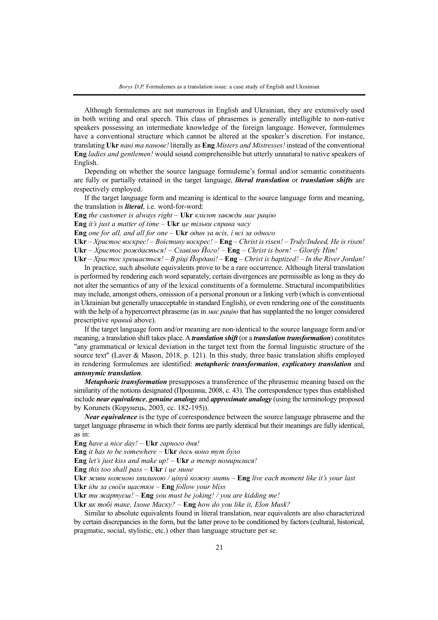Although formulemes are not numerous in English and Ukrainian, they are extensively used in both writing and oral speech. This class of phrasemes is generally intelligible to non-native speakers possessing an intermediate knowledge of the foreign language. However, formulemes have a conventional structure which cannot be altered at the speaker's discretion. For instance, translating **Ukr** *пані та панове!* literally as **Eng** *Misters and Mistresses!* instead of the conventional **Eng** *ladies and gentlemen!* would sound comprehensible but utterly unnatural to native speakers of English.

Depending on whether the source language formuleme's formal and/or semantic constituents are fully or partially retained in the target language, *literal translation* or *translation shifts* are respectively employed.

If the target language form and meaning is identical to the source language form and meaning, the translation is *literal*, i.e. word-for-word:

**Eng** *the customer is always right –* **Ukr** *клієнт завжди має рацію*

**Eng** *it's just a matter of time –* **Ukr** *це тільки справа часу*

**Eng** *one for all, and all for one –* **Ukr** *один за всіх, і всі за одного*

**Ukr** – *Христос воскрес!* – *Воістину воскрес! –* **Eng** – *Christ is risen!* – *Truly/Indeed, He is risen!*

**Ukr** *– Христос рождається!* – *Славімо Його! –* **Eng** – *Christ is born!* – *Glorify Him!*

**Ukr** – *Христос хрещається!* – *В ріці Йордані! –* **Eng** – *Christ is baptized!* – *In the River Jordan!* In practice, such absolute equivalents prove to be a rare occurrence. Although literal translation is performed by rendering each word separately, certain divergences are permissible as long as they do not alter the semantics of any of the lexical constituents of a formuleme. Structural incompatibilities may include, amongst others, omission of a personal pronoun or a linking verb (which is conventional in Ukrainian but generally unacceptable in standard English), or even rendering one of the constituents with the help of a hypercorrect phraseme (as in *Mac paulio* that has supplanted the no longer considered prescriptive *правий* above).

If the target language form and/or meaning are non-identical to the source language form and/or meaning, a translation shift takes place.A *translation shift* (or a *translation transformation*) constitutes "any grammatical or lexical deviation in the target text from the formal linguistic structure of the source text" (Laver & Mason, 2018, p. 121). In this study, three basic translation shifts employed in rendering formulemes are identified: *metaphoric transformation*, *explicatory translation* and *antonymic translation*.

*Metaphoric transformation* presupposes a transference of the phrasemic meaning based on the similarity of the notions designated (Прошина, 2008, c. 43). The correspondence types thus established include *near equivalence*, *genuine analogy* and *approximate analogy* (using the terminology proposed by Korunets (Корунець, 2003, cc. 182-195)).

*Near equivalence* is the type of correspondence between the source language phraseme and the target language phraseme in which their forms are partly identical but their meanings are fully identical, as in:

**Eng** *have a nice day!* – **Ukr** *гарного дня!*

**Eng** *it has to be somewhere* – **Ukr** *десь воно тут було*

**Eng** *let's just kiss and make up!* – **Ukr** *а тепер помирилися!*

**Eng** *this too shall pass –* **Ukr** *і це мине*

**Ukr** *живи кожною хвилиною / цінуй кожну мить* – **Eng** *live each moment like it's your last* **Ukr** *іди за своїм щастям* – **Eng** *follow your bliss*

**Ukr** *ти жартуєш!* – **Eng** *you must be joking! / you are kidding me!*

**Ukr** *як тобі таке, Ілоне Маску?* – **Eng** *how do you like it, Elon Musk?*

Similar to absolute equivalents found in literal translation, near equivalents are also characterized by certain discrepancies in the form, but the latter prove to be conditioned by factors (cultural, historical, pragmatic, social, stylistic, etc.) other than language structure per se.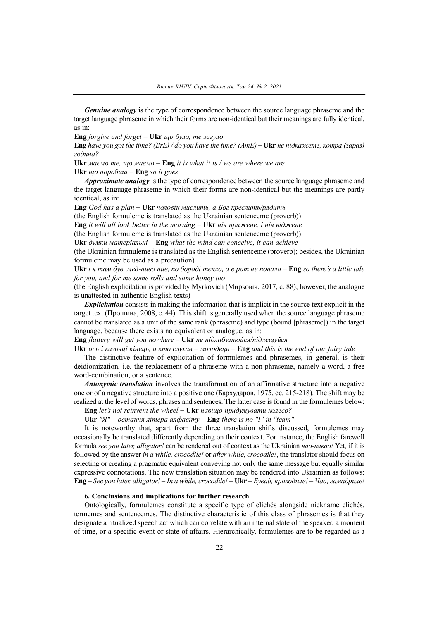*Genuine analogy* is the type of correspondence between the source language phraseme and the target language phraseme in which their forms are non-identical but their meanings are fully identical, as in:

**Eng** *forgive and forget* – **Ukr** *що було, те загуло*

Eng have you got the time? (BrE) / do you have the time? (AmE) – Ukr не підкажете, котра (зараз) *година?*

**Ukr** *маємо те, що маємо* – **Eng** *it is what it is / we are where we are* **Ukr** *що поробиш* – **Eng** *so it goes*

*Approximate analogy* is the type of correspondence between the source language phraseme and the target language phraseme in which their forms are non-identical but the meanings are partly identical, as in:

**Eng** *God has a plan* – **Ukr** *чоловік мислить, а Бог креслить/рядить*

(the English formuleme is translated as the Ukrainian sentenceme (proverb))

**Eng** *it will all look better in the morning* – **Ukr** *ніч прижене, і ніч віджене*

(the English formuleme is translated as the Ukrainian sentenceme (proverb))

**Ukr** *думки матеріальні* – **Eng** *what the mind can conceive, it can achieve*

(the Ukrainian formuleme is translated as the English sentenceme (proverb); besides, the Ukrainian formuleme may be used as a precaution)

Ukr i я там був, мед-пиво пив, по бороді текло, а в рот не попало - Eng so there's a little tale *for you, and for me some rolls and some honey too*

(the English explicitation is provided by Myrkovich (Мирковіч, 2017, c. 88); however, the analogue is unattested in authentic English texts)

*Explicitation* consists in making the information that is implicit in the source text explicit in the target text (Прошина, 2008, c. 44). This shift is generally used when the source language phraseme cannot be translated as a unit of the same rank (phraseme) and type (bound [phraseme]) in the target language, because there exists no equivalent or analogue, as in:

**Eng** *flattery will get you nowhere* – **Ukr** *не підлабузнюйся/підлещуйся*

Ukr  $oc$ b i kasouui kineus, a xmo c $\eta x$ as –  $\eta a$ onodeus – Eng and this is the end of our fairy tale

The distinctive feature of explicitation of formulemes and phrasemes, in general, is their deidiomization, i.e. the replacement of a phraseme with a non-phraseme, namely a word, a free word-combination, or a sentence.

*Antonymic translation* involves the transformation of an affirmative structure into a negative one or of a negative structure into a positive one (Бархударов, 1975, cc. 215-218). The shift may be realized at the level of words, phrases and sentences. The latter case is found in the formulemes below:

**Eng** *let's not reinvent the wheel* – **Ukr** *навіщо придумувати колесо?*

**Ukr** *"Я" – остання літера алфавіту* – **Eng** *there is no "I" in "team"*

It is noteworthy that, apart from the three translation shifts discussed, formulemes may occasionally be translated differently depending on their context. For instance, the English farewell formula *see you later, alligator!* can be rendered out of context as the Ukrainian *чао-какао!* Yet, if it is followed by the answer *in a while, crocodile!* or *after while, crocodile!*, the translator should focus on selecting or creating a pragmatic equivalent conveying not only the same message but equally similar expressive connotations. The new translation situation may be rendered into Ukrainian as follows: **Eng** *– See you later, alligator!* – *In a while, crocodile! –* **Ukr** – *Бувай, крокодиле!* – *Чао, гамадриле!*

## **6. Conclusions and implications for further research**

Ontologically, formulemes constitute a specific type of clichés alongside nickname clichés, termemes and sentencemes. The distinctive characteristic of this class of phrasemes is that they designate a ritualized speech act which can correlate with an internal state of the speaker, a moment of time, or a specific event or state of affairs. Hierarchically, formulemes are to be regarded as a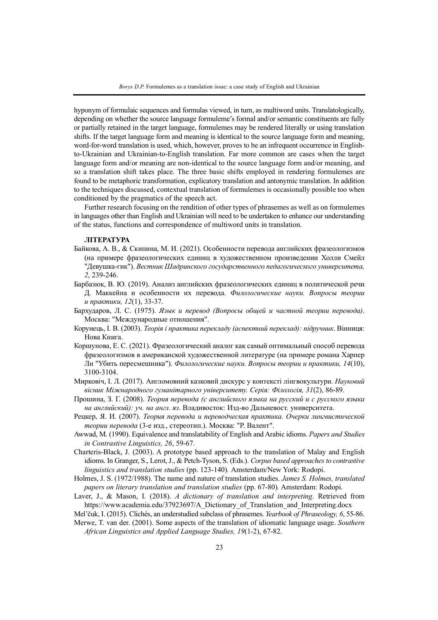hyponym of formulaic sequences and formulas viewed, in turn, as multiword units. Translatologically, depending on whether the source language formuleme's formal and/or semantic constituents are fully or partially retained in the target language, formulemes may be rendered literally or using translation shifts. If the target language form and meaning is identical to the source language form and meaning, word-for-word translation is used, which, however, proves to be an infrequent occurrence in Englishto-Ukrainian and Ukrainian-to-English translation. Far more common are cases when the target language form and/or meaning are non-identical to the source language form and/or meaning, and so a translation shift takes place. The three basic shifts employed in rendering formulemes are found to be metaphoric transformation, explicatory translation and antonymic translation. In addition to the techniques discussed, contextual translation of formulemes is occasionally possible too when conditioned by the pragmatics of the speech act.

Further research focusing on the rendition of other types of phrasemes as well as on formulemes in languages other than English and Ukrainian will need to be undertaken to enhance our understanding of the status, functions and correspondence of multiword units in translation.

### **ЛІТЕРАТУРА**

- Байкова, А. В., & Скипина, М. И. (2021). Особенности перевода английских фразеологизмов (на примере фразеологических единиц в художественном произведении Холли Смейл "Девушка-гик"). *Вестник Шадринского государственного педагогического университета, 2*, 239-246.
- Барбазюк, В. Ю. (2019). Анализ английских фразеологических единиц в политической речи Д. Маккейна и особенности их перевода. *Филологические науки. Вопросы теории и практики, 12*(1), 33-37.
- Бархударов, Л. С. (1975). *Язык и перевод (Вопросы общей и частной теории перевода)*. Москва: "Международные отношения".
- Корунець, І. В. (2003). *Теорія і практика перекладу (аспектний переклад): підручник*. Вінниця: Нова Книга.
- Коршунова, Е. С. (2021). Фразеологический аналог как самый оптимальный способ перевода фразеологизмов в американской художественной литературе (на примере романа Харпер Ли "Убить пересмешника"). *Филологические науки. Вопросы теории и практики, 14*(10), 3100-3104.
- Мирковіч, І. Л. (2017). Англомовний казковий дискурс у контексті лінгвокультури. *Науковий вісник Міжнародного гуманітарного університету. Серія: Філологія, 31*(2), 86-89.
- Прошина, З. Г. (2008). *Теория перевода (с английского языка на русский и с русского языка на английский): уч. на англ. яз*. Владивосток: Изд-во Дальневост. университета.
- Рецкер, Я. И. (2007). *Теория перевода и переводческая практика. Очерки лингвистической теории перевода* (3-е изд., стереотип.). Москва: "Р. Валент".
- Awwad, M. (1990). Equivalence and translatability of English and Arabic idioms. *Papers and Studies in Contrastive Linguistics, 26*, 59-67.
- Charteris-Black, J. (2003). A prototype based approach to the translation of Malay and English idioms. In Granger, S., Lerot, J., & Petch-Tyson, S. (Еds.). *Corpus based approaches to contrastive linguistics and translation studies* (pp. 123-140)*.* Amsterdam/New York: Rodopi.
- Holmes, J. S. (1972/1988). The name and nature of translation studies. *James S. Holmes, translated papers on literary translation and translation studies* (pp. 67-80)*.* Amsterdam: Rodopi.
- Laver, J., & Mason, I. (2018). *A dictionary of translation and interpreting*. Retrieved from https://www.academia.edu/37923697/A\_Dictionary\_of\_Translation\_and\_Interpreting.docx
- Mel'čuk, I. (2015). Clichés, an understudied subclass of phrasemes. *Yearbook of Phraseology, 6*, 55-86. Merwe, T. van der. (2001). Some aspects of the translation of idiomatic language usage. *Southern African Linguistics and Applied Language Studies, 19*(1-2), 67-82.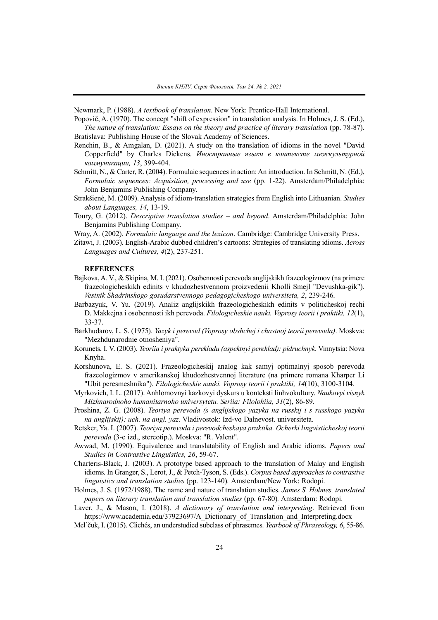Newmark, P. (1988). *A textbook of translation*. New York: Prentice-Hall International.

Popovič, A. (1970). The concept "shift of expression" in translation analysis. In Holmes, J. S. (Ed.), *The nature of translation: Essays on the theory and practice of literary translation* (pp. 78-87). Bratislava: Publishing House of the Slovak Academy of Sciences.

- Renchin, B., & Amgalan, D. (2021). A study on the translation of idioms in the novel "David Copperfield" by Charles Dickens. *Иностранные языки в контексте межкультурной коммуникации, 13*, 399-404.
- Schmitt, N., & Carter, R. (2004). Formulaic sequences in action: An introduction. In Schmitt, N. (Ed.), *Formulaic sequences: Acquisition, processing and use* (pp. 1-22). Amsterdam/Philadelphia: John Benjamins Publishing Company.
- Strakšienė, M. (2009). Analysis of idiom-translation strategies from English into Lithuanian. *Studies about Languages, 14*, 13-19.
- Toury, G. (2012). *Descriptive translation studies – and beyond*. Amsterdam/Philadelphia: John Benjamins Publishing Company.
- Wray, A. (2002). *Formulaic language and the lexicon*. Cambridge: Cambridge University Press.
- Zitawi, J. (2003). English-Arabic dubbed children's cartoons: Strategies of translating idioms. *Across Languages and Cultures, 4*(2), 237-251.

### **REFERENCES**

- Bajkova,A. V., & Skipina, M. I. (2021). Osobennosti perevoda anglijskikh frazeologizmov (na primere frazeologicheskikh edinits v khudozhestvennom proizvedenii Kholli Smejl "Devushka-gik"). *Vestnik Shadrinskogo gosudarstvennogo pedagogicheskogo universiteta, 2*, 239-246.
- Barbazyuk, V. Yu. (2019). Analiz anglijskikh frazeologicheskikh edinits v politicheskoj rechi D. Makkejna i osobennosti ikh perevoda. *Filologicheskie nauki. Voprosy teorii i praktiki, 12*(1), 33-37.
- Barkhudarov, L. S. (1975). *Yazyk i perevod (Voprosy obshchej i chastnoj teorii perevoda)*. Moskva: "Mezhdunarodnie otnosheniya".
- Korunets, I. V. (2003). *Teoriia i praktyka perekladu (aspektnyi pereklad): pidruchnyk*. Vinnytsia: Nova Knyha.
- Korshunova, E. S. (2021). Frazeologicheskij analog kak samyj optimalnyj sposob perevoda frazeologizmov v amerikanskoj khudozhestvennoj literature (na primere romana Kharper Li "Ubit peresmeshnika"). *Filologicheskie nauki. Voprosy teorii i praktiki, 14*(10), 3100-3104.
- Myrkovich, I. L. (2017). Anhlomovnyi kazkovyi dyskurs u konteksti linhvokultury. *Naukovyi visnyk Mizhnarodnoho humanitarnoho universytetu. Seriia: Filolohiia, 31*(2), 86-89.
- Proshina, Z. G. (2008). *Teoriya perevoda (s anglijskogo yazyka na russkij i s russkogo yazyka na anglijskij): uch. na angl. yaz*. Vladivostok: Izd-vo Dalnevost. universiteta.
- Retsker, Ya. I. (2007). *Teoriya perevoda i perevodcheskaya praktika. Ocherki lingvisticheskoj teorii perevoda* (3-e izd., stereotip.). Moskva: "R. Valent".
- Awwad, M. (1990). Equivalence and translatability of English and Arabic idioms. *Papers and Studies in Contrastive Linguistics, 26*, 59-67.
- Charteris-Black, J. (2003). A prototype based approach to the translation of Malay and English idioms. In Granger, S., Lerot, J., & Petch-Tyson, S. (Eds.). *Corpus based approaches to contrastive linguistics and translation studies* (pp. 123-140)*.* Amsterdam/New York: Rodopi.
- Holmes, J. S. (1972/1988). The name and nature of translation studies. *James S. Holmes, translated papers on literary translation and translation studies* (pp. 67-80)*.* Amsterdam: Rodopi.
- Laver, J., & Mason, I. (2018). *A dictionary of translation and interpreting*. Retrieved from https://www.academia.edu/37923697/A\_Dictionary\_of\_Translation\_and\_Interpreting.docx
- Mel'čuk, I. (2015). Clichés, an understudied subclass of phrasemes. *Yearbook of Phraseology, 6*, 55-86.